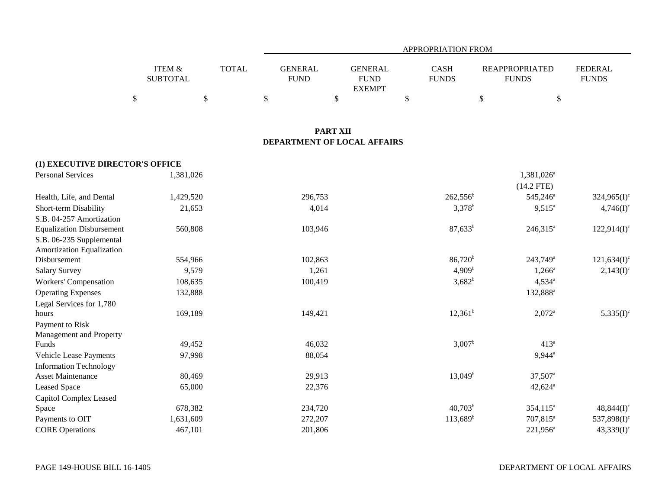|                   |              |             | APPROPRIATION FROM |              |                       |                |  |  |  |  |  |
|-------------------|--------------|-------------|--------------------|--------------|-----------------------|----------------|--|--|--|--|--|
|                   |              |             |                    |              |                       |                |  |  |  |  |  |
| <b>ITEM &amp;</b> | <b>TOTAL</b> | GENERAL     | <b>GENERAL</b>     | <b>CASH</b>  | <b>REAPPROPRIATED</b> | <b>FEDERAL</b> |  |  |  |  |  |
| <b>SUBTOTAL</b>   |              | <b>FUND</b> | <b>FUND</b>        | <b>FUNDS</b> | <b>FUNDS</b>          | <b>FUNDS</b>   |  |  |  |  |  |
|                   |              |             | <b>EXEMPT</b>      |              |                       |                |  |  |  |  |  |
|                   |              |             |                    |              |                       |                |  |  |  |  |  |

## **PART XII DEPARTMENT OF LOCAL AFFAIRS**

| (1) EXECUTIVE DIRECTOR'S OFFICE  |           |         |                      |                        |                |
|----------------------------------|-----------|---------|----------------------|------------------------|----------------|
| <b>Personal Services</b>         | 1,381,026 |         |                      | 1,381,026 <sup>a</sup> |                |
|                                  |           |         |                      | $(14.2$ FTE)           |                |
| Health, Life, and Dental         | 1,429,520 | 296,753 | $262,556^b$          | 545,246 <sup>a</sup>   | $324,965(I)^c$ |
| Short-term Disability            | 21,653    | 4,014   | $3,378^{b}$          | $9,515^a$              | $4,746(I)^c$   |
| S.B. 04-257 Amortization         |           |         |                      |                        |                |
| <b>Equalization Disbursement</b> | 560,808   | 103,946 | $87,633^b$           | $246,315^a$            | $122,914(I)^c$ |
| S.B. 06-235 Supplemental         |           |         |                      |                        |                |
| Amortization Equalization        |           |         |                      |                        |                |
| Disbursement                     | 554,966   | 102,863 | $86,720^{\rm b}$     | $243,749^{\circ}$      | $121,634(I)^c$ |
| <b>Salary Survey</b>             | 9,579     | 1,261   | 4,909 <sup>b</sup>   | $1,266^a$              | $2,143(I)^c$   |
| Workers' Compensation            | 108,635   | 100,419 | $3,682^{b}$          | $4,534^{\circ}$        |                |
| <b>Operating Expenses</b>        | 132,888   |         |                      | 132,888 <sup>a</sup>   |                |
| Legal Services for 1,780         |           |         |                      |                        |                |
| hours                            | 169,189   | 149,421 | $12,361^b$           | $2,072^a$              | $5,335(I)^c$   |
| Payment to Risk                  |           |         |                      |                        |                |
| Management and Property          |           |         |                      |                        |                |
| Funds                            | 49,452    | 46,032  | $3,007^{\rm b}$      | 413 <sup>a</sup>       |                |
| Vehicle Lease Payments           | 97,998    | 88,054  |                      | $9,944^{\circ}$        |                |
| <b>Information Technology</b>    |           |         |                      |                        |                |
| <b>Asset Maintenance</b>         | 80,469    | 29,913  | $13,049^b$           | $37,507$ <sup>a</sup>  |                |
| <b>Leased Space</b>              | 65,000    | 22,376  |                      | $42,624$ <sup>a</sup>  |                |
| Capitol Complex Leased           |           |         |                      |                        |                |
| Space                            | 678,382   | 234,720 | $40,703^b$           | 354,115 <sup>a</sup>   | $48,844(I)^c$  |
| Payments to OIT                  | 1,631,609 | 272,207 | 113,689 <sup>b</sup> | 707,815 <sup>a</sup>   | $537,898(I)^c$ |
| <b>CORE Operations</b>           | 467,101   | 201,806 |                      | $221,956^a$            | $43,339(I)^c$  |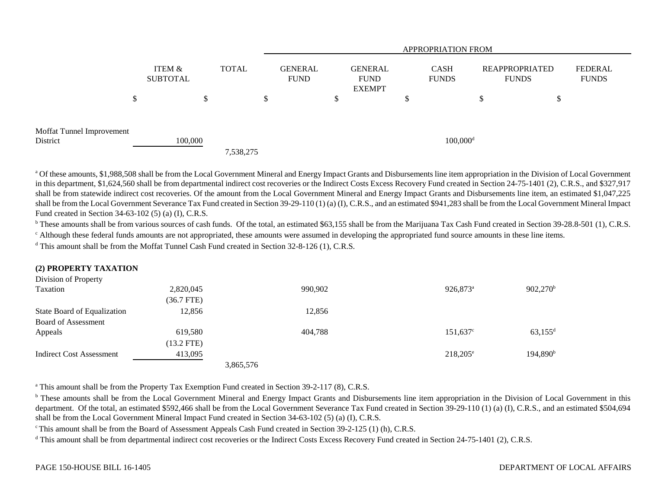|                                       |                           |              | <b>APPROPRIATION FROM</b> |    |                                                |   |                             |                                |                         |  |
|---------------------------------------|---------------------------|--------------|---------------------------|----|------------------------------------------------|---|-----------------------------|--------------------------------|-------------------------|--|
|                                       | ITEM &<br><b>SUBTOTAL</b> | <b>TOTAL</b> | GENERAL<br><b>FUND</b>    |    | <b>GENERAL</b><br><b>FUND</b><br><b>EXEMPT</b> |   | <b>CASH</b><br><b>FUNDS</b> | REAPPROPRIATED<br><b>FUNDS</b> | FEDERAL<br><b>FUNDS</b> |  |
|                                       | \$<br>\$                  |              |                           | \$ |                                                | D |                             | D                              | S                       |  |
| Moffat Tunnel Improvement<br>District | 100,000                   | 7,538,275    |                           |    |                                                |   | $100,000$ <sup>d</sup>      |                                |                         |  |

<sup>a</sup> Of these amounts, \$1,988,508 shall be from the Local Government Mineral and Energy Impact Grants and Disbursements line item appropriation in the Division of Local Government in this department, \$1,624,560 shall be from departmental indirect cost recoveries or the Indirect Costs Excess Recovery Fund created in Section 24-75-1401 (2), C.R.S., and \$327,917 shall be from statewide indirect cost recoveries. Of the amount from the Local Government Mineral and Energy Impact Grants and Disbursements line item, an estimated \$1,047,225 shall be from the Local Government Severance Tax Fund created in Section 39-29-110 (1) (a) (I), C.R.S., and an estimated \$941,283 shall be from the Local Government Mineral Impact Fund created in Section 34-63-102 (5) (a) (I), C.R.S.

<sup>b</sup> These amounts shall be from various sources of cash funds. Of the total, an estimated \$63,155 shall be from the Marijuana Tax Cash Fund created in Section 39-28.8-501 (1), C.R.S.

<sup>c</sup> Although these federal funds amounts are not appropriated, these amounts were assumed in developing the appropriated fund source amounts in these line items.

 $d$  This amount shall be from the Moffat Tunnel Cash Fund created in Section 32-8-126 (1), C.R.S.

| (2) PROPERTY TAXATION       |              |           |         |                      |                       |
|-----------------------------|--------------|-----------|---------|----------------------|-----------------------|
| Division of Property        |              |           |         |                      |                       |
| Taxation                    | 2,820,045    |           | 990,902 | 926,873 <sup>a</sup> | $902,270^{\rm b}$     |
|                             | $(36.7$ FTE) |           |         |                      |                       |
| State Board of Equalization | 12,856       |           | 12,856  |                      |                       |
| Board of Assessment         |              |           |         |                      |                       |
| Appeals                     | 619,580      |           | 404,788 | $151,637^{\circ}$    | $63,155$ <sup>d</sup> |
|                             | $(13.2$ FTE) |           |         |                      |                       |
| Indirect Cost Assessment    | 413,095      |           |         | $218,205^{\circ}$    | 194,890 <sup>b</sup>  |
|                             |              | 3,865,576 |         |                      |                       |

<sup>a</sup> This amount shall be from the Property Tax Exemption Fund created in Section 39-2-117 (8), C.R.S.

<sup>b</sup> These amounts shall be from the Local Government Mineral and Energy Impact Grants and Disbursements line item appropriation in the Division of Local Government in this department. Of the total, an estimated \$592,466 shall be from the Local Government Severance Tax Fund created in Section 39-29-110 (1) (a) (I), C.R.S., and an estimated \$504,694 shall be from the Local Government Mineral Impact Fund created in Section 34-63-102 (5) (a) (I), C.R.S.

<sup>c</sup> This amount shall be from the Board of Assessment Appeals Cash Fund created in Section 39-2-125 (1) (h), C.R.S.

<sup>d</sup> This amount shall be from departmental indirect cost recoveries or the Indirect Costs Excess Recovery Fund created in Section 24-75-1401 (2), C.R.S.

## DEPARTMENT OF LOCAL AFFAIRS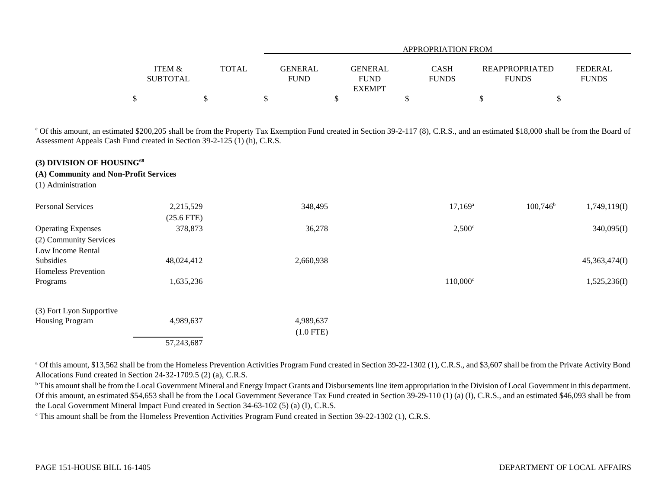|                   |                  | APPROPRIATION FROM |              |                |              |  |  |  |  |  |
|-------------------|------------------|--------------------|--------------|----------------|--------------|--|--|--|--|--|
| <b>ITEM &amp;</b> | GENERAL<br>TOTAL | <b>GENERAL</b>     | <b>CASH</b>  | REAPPROPRIATED | FEDERAL      |  |  |  |  |  |
| <b>SUBTOTAL</b>   | <b>FUND</b>      | <b>FUND</b>        | <b>FUNDS</b> | <b>FUNDS</b>   | <b>FUNDS</b> |  |  |  |  |  |
|                   |                  | <b>EXEMPT</b>      |              |                |              |  |  |  |  |  |
|                   |                  |                    |              |                |              |  |  |  |  |  |

<sup>e</sup> Of this amount, an estimated \$200,205 shall be from the Property Tax Exemption Fund created in Section 39-2-117 (8), C.R.S., and an estimated \$18,000 shall be from the Board of Assessment Appeals Cash Fund created in Section 39-2-125 (1) (h), C.R.S.

## **(3) DIVISION OF HOUSING<sup>68</sup>**

**(A) Community and Non-Profit Services**

(1) Administration

| <b>Personal Services</b>   | 2,215,529    | 348,495     | $17,169^{\rm a}$  | $100,746^{\rm b}$ | 1,749,119(I)  |
|----------------------------|--------------|-------------|-------------------|-------------------|---------------|
|                            | $(25.6$ FTE) |             |                   |                   |               |
| <b>Operating Expenses</b>  | 378,873      | 36,278      | $2,500^\circ$     |                   | 340,095(I)    |
| (2) Community Services     |              |             |                   |                   |               |
| Low Income Rental          |              |             |                   |                   |               |
| Subsidies                  | 48,024,412   | 2,660,938   |                   |                   | 45,363,474(I) |
| <b>Homeless Prevention</b> |              |             |                   |                   |               |
| Programs                   | 1,635,236    |             | $110,000^{\circ}$ |                   | 1,525,236(I)  |
| (3) Fort Lyon Supportive   |              |             |                   |                   |               |
| <b>Housing Program</b>     | 4,989,637    | 4,989,637   |                   |                   |               |
|                            |              | $(1.0$ FTE) |                   |                   |               |
|                            | 57,243,687   |             |                   |                   |               |

<sup>a</sup> Of this amount, \$13,562 shall be from the Homeless Prevention Activities Program Fund created in Section 39-22-1302 (1), C.R.S., and \$3,607 shall be from the Private Activity Bond Allocations Fund created in Section 24-32-1709.5 (2) (a), C.R.S.

<sup>b</sup> This amount shall be from the Local Government Mineral and Energy Impact Grants and Disbursements line item appropriation in the Division of Local Government in this department. Of this amount, an estimated \$54,653 shall be from the Local Government Severance Tax Fund created in Section 39-29-110 (1) (a) (I), C.R.S., and an estimated \$46,093 shall be from the Local Government Mineral Impact Fund created in Section 34-63-102 (5) (a) (I), C.R.S.

<sup>c</sup> This amount shall be from the Homeless Prevention Activities Program Fund created in Section 39-22-1302 (1), C.R.S.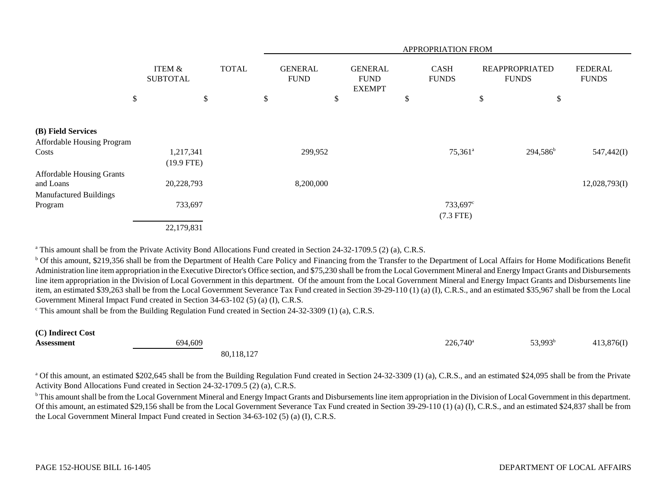|                                  |                                      |              | APPROPRIATION FROM |                               |                                                |    |                             |    |                                       |                                |
|----------------------------------|--------------------------------------|--------------|--------------------|-------------------------------|------------------------------------------------|----|-----------------------------|----|---------------------------------------|--------------------------------|
|                                  | <b>ITEM &amp;</b><br><b>SUBTOTAL</b> | <b>TOTAL</b> |                    | <b>GENERAL</b><br><b>FUND</b> | <b>GENERAL</b><br><b>FUND</b><br><b>EXEMPT</b> |    | <b>CASH</b><br><b>FUNDS</b> |    | <b>REAPPROPRIATED</b><br><b>FUNDS</b> | <b>FEDERAL</b><br><b>FUNDS</b> |
|                                  | \$                                   | \$           | \$                 |                               | \$                                             | \$ |                             | \$ | \$                                    |                                |
| (B) Field Services               |                                      |              |                    |                               |                                                |    |                             |    |                                       |                                |
| Affordable Housing Program       |                                      |              |                    |                               |                                                |    |                             |    |                                       |                                |
| Costs                            | 1,217,341                            |              |                    | 299,952                       |                                                |    | $75,361^a$                  |    | $294,586^b$                           | 547,442(I)                     |
|                                  | $(19.9$ FTE)                         |              |                    |                               |                                                |    |                             |    |                                       |                                |
| <b>Affordable Housing Grants</b> |                                      |              |                    |                               |                                                |    |                             |    |                                       |                                |
| and Loans                        | 20,228,793                           |              |                    | 8,200,000                     |                                                |    |                             |    |                                       | 12,028,793(I)                  |
| <b>Manufactured Buildings</b>    |                                      |              |                    |                               |                                                |    |                             |    |                                       |                                |
| Program                          | 733,697                              |              |                    |                               |                                                |    | 733,697°                    |    |                                       |                                |
|                                  |                                      |              |                    |                               |                                                |    | $(7.3$ FTE)                 |    |                                       |                                |
|                                  | 22,179,831                           |              |                    |                               |                                                |    |                             |    |                                       |                                |

<sup>a</sup> This amount shall be from the Private Activity Bond Allocations Fund created in Section 24-32-1709.5 (2) (a), C.R.S.

<sup>b</sup> Of this amount, \$219,356 shall be from the Department of Health Care Policy and Financing from the Transfer to the Department of Local Affairs for Home Modifications Benefit Administration line item appropriation in the Executive Director's Office section, and \$75,230 shall be from the Local Government Mineral and Energy Impact Grants and Disbursements line item appropriation in the Division of Local Government in this department. Of the amount from the Local Government Mineral and Energy Impact Grants and Disbursements line item, an estimated \$39,263 shall be from the Local Government Severance Tax Fund created in Section 39-29-110 (1) (a) (I), C.R.S., and an estimated \$35,967 shall be from the Local Government Mineral Impact Fund created in Section 34-63-102 (5) (a) (I), C.R.S.

 $\textdegree$  This amount shall be from the Building Regulation Fund created in Section 24-32-3309 (1) (a), C.R.S.

| (C) Indirect Cost |            |             |                     |            |
|-------------------|------------|-------------|---------------------|------------|
| Assessment        | 694,609    | $226,740^a$ | 53,993 <sup>b</sup> | 413,876(I) |
|                   | 80,118,127 |             |                     |            |

<sup>a</sup> Of this amount, an estimated \$202,645 shall be from the Building Regulation Fund created in Section 24-32-3309 (1) (a), C.R.S., and an estimated \$24,095 shall be from the Private Activity Bond Allocations Fund created in Section 24-32-1709.5 (2) (a), C.R.S.

<sup>b</sup> This amount shall be from the Local Government Mineral and Energy Impact Grants and Disbursements line item appropriation in the Division of Local Government in this department. Of this amount, an estimated \$29,156 shall be from the Local Government Severance Tax Fund created in Section 39-29-110 (1) (a) (I), C.R.S., and an estimated \$24,837 shall be from the Local Government Mineral Impact Fund created in Section 34-63-102 (5) (a) (I), C.R.S.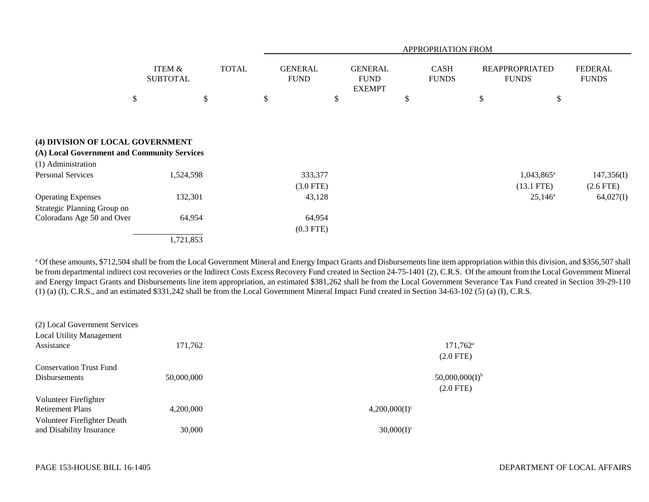|                                                                                                                                   |                                      | APPROPRIATION FROM |                               |                                                |                             |                                       |                                |  |
|-----------------------------------------------------------------------------------------------------------------------------------|--------------------------------------|--------------------|-------------------------------|------------------------------------------------|-----------------------------|---------------------------------------|--------------------------------|--|
|                                                                                                                                   | <b>ITEM &amp;</b><br><b>SUBTOTAL</b> | <b>TOTAL</b>       | <b>GENERAL</b><br><b>FUND</b> | <b>GENERAL</b><br><b>FUND</b><br><b>EXEMPT</b> | <b>CASH</b><br><b>FUNDS</b> | <b>REAPPROPRIATED</b><br><b>FUNDS</b> | <b>FEDERAL</b><br><b>FUNDS</b> |  |
|                                                                                                                                   | \$                                   | \$                 | $\mathcal{S}$<br>\$           |                                                | \$                          | \$<br>\$                              |                                |  |
| (4) DIVISION OF LOCAL GOVERNMENT<br>(A) Local Government and Community Services<br>(1) Administration<br><b>Personal Services</b> | 1,524,598                            |                    | 333,377<br>$(3.0$ FTE)        |                                                |                             | $1,043,865^{\circ}$<br>$(13.1$ FTE)   | 147,356(I)<br>$(2.6$ FTE)      |  |
| <b>Operating Expenses</b>                                                                                                         | 132,301                              |                    | 43,128                        |                                                |                             | $25,146^{\circ}$                      | 64,027(I)                      |  |
| Strategic Planning Group on                                                                                                       |                                      |                    |                               |                                                |                             |                                       |                                |  |
| Coloradans Age 50 and Over                                                                                                        | 64,954                               |                    | 64,954                        |                                                |                             |                                       |                                |  |
|                                                                                                                                   |                                      |                    | $(0.3$ FTE)                   |                                                |                             |                                       |                                |  |
|                                                                                                                                   | 1,721,853                            |                    |                               |                                                |                             |                                       |                                |  |

<sup>a</sup> Of these amounts, \$712,504 shall be from the Local Government Mineral and Energy Impact Grants and Disbursements line item appropriation within this division, and \$356,507 shall be from departmental indirect cost recoveries or the Indirect Costs Excess Recovery Fund created in Section 24-75-1401 (2), C.R.S. Of the amount from the Local Government Mineral and Energy Impact Grants and Disbursements line item appropriation, an estimated \$381,262 shall be from the Local Government Severance Tax Fund created in Section 39-29-110 (1) (a) (I), C.R.S., and an estimated \$331,242 shall be from the Local Government Mineral Impact Fund created in Section 34-63-102 (5) (a) (I), C.R.S.

| (2) Local Government Services   |            |                  |                            |
|---------------------------------|------------|------------------|----------------------------|
| <b>Local Utility Management</b> |            |                  |                            |
| Assistance                      | 171,762    |                  | $171,762^{\rm a}$          |
|                                 |            |                  | $(2.0$ FTE)                |
| <b>Conservation Trust Fund</b>  |            |                  |                            |
| <b>Disbursements</b>            | 50,000,000 |                  | 50,000,000(1) <sup>b</sup> |
|                                 |            |                  | $(2.0$ FTE $)$             |
| Volunteer Firefighter           |            |                  |                            |
| <b>Retirement Plans</b>         | 4.200.000  | $4,200,000(I)^c$ |                            |
| Volunteer Firefighter Death     |            |                  |                            |
| and Disability Insurance        | 30,000     | $30,000(I)^c$    |                            |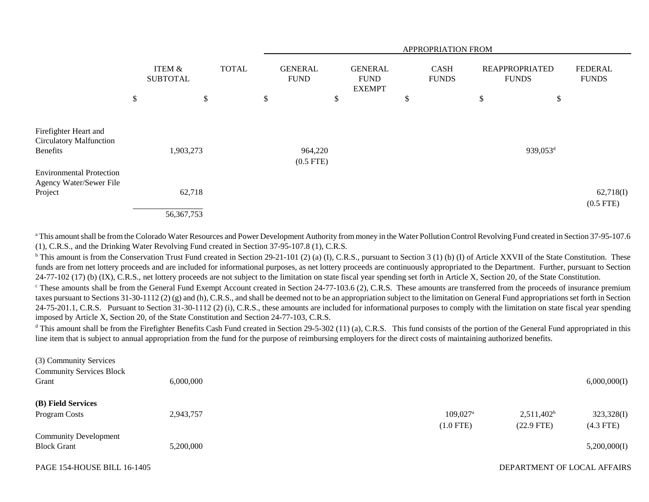|                                                                            |                                      |              |    | APPROPRIATION FROM            |                                                |                                                |                      |  |                                       |                           |                                |
|----------------------------------------------------------------------------|--------------------------------------|--------------|----|-------------------------------|------------------------------------------------|------------------------------------------------|----------------------|--|---------------------------------------|---------------------------|--------------------------------|
|                                                                            | <b>ITEM &amp;</b><br><b>SUBTOTAL</b> | <b>TOTAL</b> |    | <b>GENERAL</b><br><b>FUND</b> |                                                | <b>GENERAL</b><br><b>FUND</b><br><b>EXEMPT</b> | CASH<br><b>FUNDS</b> |  | <b>REAPPROPRIATED</b><br><b>FUNDS</b> |                           | <b>FEDERAL</b><br><b>FUNDS</b> |
|                                                                            | \$<br>\$                             |              | \$ |                               | \$                                             |                                                | \$                   |  | \$                                    | $\boldsymbol{\mathsf{S}}$ |                                |
| Firefighter Heart and<br><b>Circulatory Malfunction</b><br><b>Benefits</b> | 1,903,273                            |              |    |                               | 939,053 <sup>d</sup><br>964,220<br>$(0.5$ FTE) |                                                |                      |  |                                       |                           |                                |
| <b>Environmental Protection</b><br>Agency Water/Sewer File<br>Project      | 62,718<br>56, 367, 753               |              |    |                               |                                                |                                                |                      |  |                                       |                           | 62,718(I)<br>$(0.5$ FTE)       |

a This amount shall be from the Colorado Water Resources and Power Development Authority from money in the Water Pollution Control Revolving Fund created in Section 37-95-107.6 (1), C.R.S., and the Drinking Water Revolving Fund created in Section 37-95-107.8 (1), C.R.S.

 $b$  This amount is from the Conservation Trust Fund created in Section 29-21-101 (2) (a) (I), C.R.S., pursuant to Section 3 (1) (b) (I) of Article XXVII of the State Constitution. These funds are from net lottery proceeds and are included for informational purposes, as net lottery proceeds are continuously appropriated to the Department. Further, pursuant to Section 24-77-102 (17) (b) (IX), C.R.S., net lottery proceeds are not subject to the limitation on state fiscal year spending set forth in Article X, Section 20, of the State Constitution.

 $\degree$  These amounts shall be from the General Fund Exempt Account created in Section 24-77-103.6 (2), C.R.S. These amounts are transferred from the proceeds of insurance premium taxes pursuant to Sections 31-30-1112 (2) (g) and (h), C.R.S., and shall be deemed not to be an appropriation subject to the limitation on General Fund appropriations set forth in Section 24-75-201.1, C.R.S. Pursuant to Section 31-30-1112 (2) (i), C.R.S., these amounts are included for informational purposes to comply with the limitation on state fiscal year spending imposed by Article X, Section 20, of the State Constitution and Section 24-77-103, C.R.S.

<sup>d</sup> This amount shall be from the Firefighter Benefits Cash Fund created in Section 29-5-302 (11) (a), C.R.S. This fund consists of the portion of the General Fund appropriated in this line item that is subject to annual appropriation from the fund for the purpose of reimbursing employers for the direct costs of maintaining authorized benefits.

| (3) Community Services             |           |                        |                             |              |
|------------------------------------|-----------|------------------------|-----------------------------|--------------|
| <b>Community Services Block</b>    |           |                        |                             |              |
| Grant                              | 6,000,000 |                        |                             | 6,000,000(I) |
| (B) Field Services                 |           |                        |                             |              |
| Program Costs                      | 2,943,757 | $109.027$ <sup>a</sup> | $2,511,402^b$               | 323,328(I)   |
|                                    |           | $(1.0$ FTE)            | $(22.9$ FTE)                | $(4.3$ FTE)  |
| <b>Community Development</b>       |           |                        |                             |              |
| <b>Block Grant</b>                 | 5,200,000 |                        |                             | 5,200,000(I) |
| <b>PAGE 154-HOUSE BILL 16-1405</b> |           |                        | DEPARTMENT OF LOCAL AFFAIRS |              |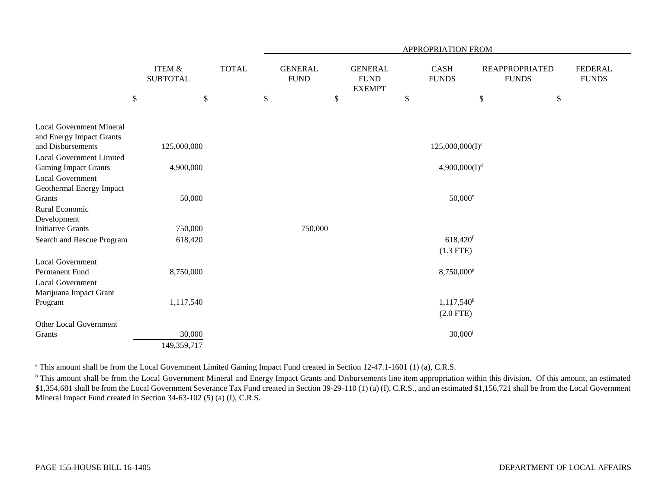|                                                                          |                           |                                      |              |    | <b>APPROPRIATION FROM</b>     |                                                |                           |                              |      |                                       |                                |
|--------------------------------------------------------------------------|---------------------------|--------------------------------------|--------------|----|-------------------------------|------------------------------------------------|---------------------------|------------------------------|------|---------------------------------------|--------------------------------|
|                                                                          |                           | <b>ITEM &amp;</b><br><b>SUBTOTAL</b> | <b>TOTAL</b> |    | <b>GENERAL</b><br><b>FUND</b> | <b>GENERAL</b><br><b>FUND</b><br><b>EXEMPT</b> |                           | <b>CASH</b><br><b>FUNDS</b>  |      | <b>REAPPROPRIATED</b><br><b>FUNDS</b> | <b>FEDERAL</b><br><b>FUNDS</b> |
|                                                                          | $\boldsymbol{\mathsf{S}}$ | \$                                   |              | \$ | \$                            |                                                | $\boldsymbol{\mathsf{S}}$ |                              | $\$$ | $\$$                                  |                                |
| <b>Local Government Mineral</b><br>and Energy Impact Grants              |                           |                                      |              |    |                               |                                                |                           |                              |      |                                       |                                |
| and Disbursements                                                        |                           | 125,000,000                          |              |    |                               |                                                |                           | $125,000,000(I)^c$           |      |                                       |                                |
| <b>Local Government Limited</b><br><b>Gaming Impact Grants</b>           |                           | 4,900,000                            |              |    |                               |                                                |                           | 4,900,000(I) <sup>d</sup>    |      |                                       |                                |
| Local Government<br>Geothermal Energy Impact<br>Grants<br>Rural Economic |                           | 50,000                               |              |    |                               |                                                |                           | $50,000^{\circ}$             |      |                                       |                                |
| Development                                                              |                           |                                      |              |    |                               |                                                |                           |                              |      |                                       |                                |
| <b>Initiative Grants</b>                                                 |                           | 750,000                              |              |    | 750,000                       |                                                |                           |                              |      |                                       |                                |
| Search and Rescue Program                                                |                           | 618,420                              |              |    |                               |                                                |                           | 618,420f                     |      |                                       |                                |
|                                                                          |                           |                                      |              |    |                               |                                                |                           | $(1.3$ FTE)                  |      |                                       |                                |
| <b>Local Government</b><br>Permanent Fund                                |                           | 8,750,000                            |              |    |                               |                                                |                           | 8,750,000 <sup>g</sup>       |      |                                       |                                |
| <b>Local Government</b><br>Marijuana Impact Grant                        |                           |                                      |              |    |                               |                                                |                           |                              |      |                                       |                                |
| Program                                                                  |                           | 1,117,540                            |              |    |                               |                                                |                           | $1,117,540^h$<br>$(2.0$ FTE) |      |                                       |                                |
| Other Local Government                                                   |                           |                                      |              |    |                               |                                                |                           |                              |      |                                       |                                |
| Grants                                                                   |                           | 30,000<br>149,359,717                |              |    |                               |                                                |                           | $30,000^{\rm i}$             |      |                                       |                                |

<sup>a</sup> This amount shall be from the Local Government Limited Gaming Impact Fund created in Section 12-47.1-1601 (1) (a), C.R.S.

<sup>b</sup> This amount shall be from the Local Government Mineral and Energy Impact Grants and Disbursements line item appropriation within this division. Of this amount, an estimated \$1,354,681 shall be from the Local Government Severance Tax Fund created in Section 39-29-110 (1) (a) (I), C.R.S., and an estimated \$1,156,721 shall be from the Local Government Mineral Impact Fund created in Section 34-63-102 (5) (a) (I), C.R.S.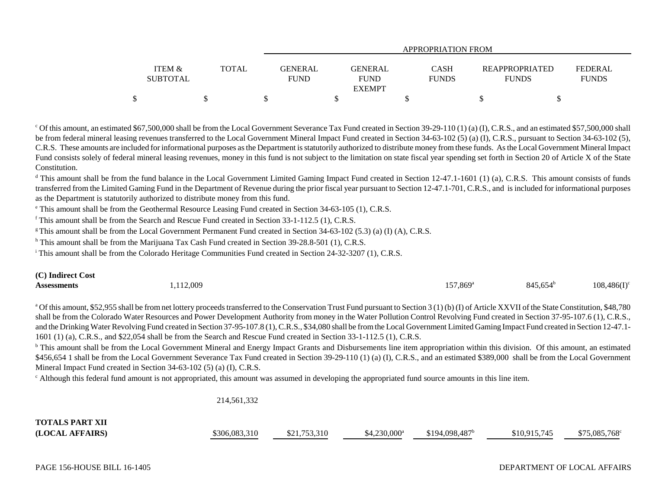|                   |       |                | APPROPRIATION FROM |              |                       |                |  |  |
|-------------------|-------|----------------|--------------------|--------------|-----------------------|----------------|--|--|
|                   |       |                |                    |              |                       |                |  |  |
| <b>ITEM &amp;</b> | TOTAL | <b>GENERAL</b> | <b>GENERAL</b>     | <b>CASH</b>  | <b>REAPPROPRIATED</b> | <b>FEDERAL</b> |  |  |
| <b>SUBTOTAL</b>   |       | <b>FUND</b>    | <b>FUND</b>        | <b>FUNDS</b> | <b>FUNDS</b>          | <b>FUNDS</b>   |  |  |
|                   |       |                | <b>EXEMPT</b>      |              |                       |                |  |  |
|                   |       |                |                    |              |                       |                |  |  |

 $^{\circ}$  Of this amount, an estimated \$67,500,000 shall be from the Local Government Severance Tax Fund created in Section 39-29-110 (1) (a) (I), C.R.S., and an estimated \$57,500,000 shall be from federal mineral leasing revenues transferred to the Local Government Mineral Impact Fund created in Section 34-63-102 (5) (a) (I), C.R.S., pursuant to Section 34-63-102 (5), C.R.S. These amounts are included for informational purposes as the Department is statutorily authorized to distribute money from these funds. As the Local Government Mineral Impact Fund consists solely of federal mineral leasing revenues, money in this fund is not subject to the limitation on state fiscal year spending set forth in Section 20 of Article X of the State Constitution.

<sup>d</sup> This amount shall be from the fund balance in the Local Government Limited Gaming Impact Fund created in Section 12-47.1-1601 (1) (a), C.R.S. This amount consists of funds transferred from the Limited Gaming Fund in the Department of Revenue during the prior fiscal year pursuant to Section 12-47.1-701, C.R.S., and is included for informational purposes as the Department is statutorily authorized to distribute money from this fund.

e This amount shall be from the Geothermal Resource Leasing Fund created in Section 34-63-105 (1), C.R.S.

 $f$  This amount shall be from the Search and Rescue Fund created in Section 33-1-112.5 (1), C.R.S.

<sup>g</sup> This amount shall be from the Local Government Permanent Fund created in Section 34-63-102 (5.3) (a) (I) (A), C.R.S.

h This amount shall be from the Marijuana Tax Cash Fund created in Section 39-28.8-501 (1), C.R.S.

<sup>i</sup> This amount shall be from the Colorado Heritage Communities Fund created in Section 24-32-3207 (1), C.R.S.

| (C) Indirect Cost  |          |                   |                   |                |
|--------------------|----------|-------------------|-------------------|----------------|
| <b>Assessments</b> | ,112,009 | $157,869^{\rm a}$ | $845,654^{\circ}$ | $108,486(I)^c$ |

<sup>a</sup> Of this amount, \$52,955 shall be from net lottery proceeds transferred to the Conservation Trust Fund pursuant to Section 3 (1) (b) (I) of Article XXVII of the State Constitution, \$48,780 shall be from the Colorado Water Resources and Power Development Authority from money in the Water Pollution Control Revolving Fund created in Section 37-95-107.6 (1), C.R.S., and the Drinking Water Revolving Fund created in Section 37-95-107.8 (1), C.R.S., \$34,080 shall be from the Local Government Limited Gaming Impact Fund created in Section 12-47.1- 1601 (1) (a), C.R.S., and \$22,054 shall be from the Search and Rescue Fund created in Section 33-1-112.5 (1), C.R.S.

<sup>b</sup> This amount shall be from the Local Government Mineral and Energy Impact Grants and Disbursements line item appropriation within this division. Of this amount, an estimated \$456,654 1 shall be from the Local Government Severance Tax Fund created in Section 39-29-110 (1) (a) (I), C.R.S., and an estimated \$389,000 shall be from the Local Government Mineral Impact Fund created in Section 34-63-102 (5) (a) (I), C.R.S.

 $\epsilon$  Although this federal fund amount is not appropriated, this amount was assumed in developing the appropriated fund source amounts in this line item.

214,561,332

| <b>TOTALS PART XII</b> |               |              |                |                            |              |                       |
|------------------------|---------------|--------------|----------------|----------------------------|--------------|-----------------------|
| (LOCAL AFFAIRS)        | \$306.083.310 | \$21,753,310 | $$4,230,000^a$ | \$194,098,487 <sup>b</sup> | \$10.915.745 | $$75,085,768^{\circ}$ |